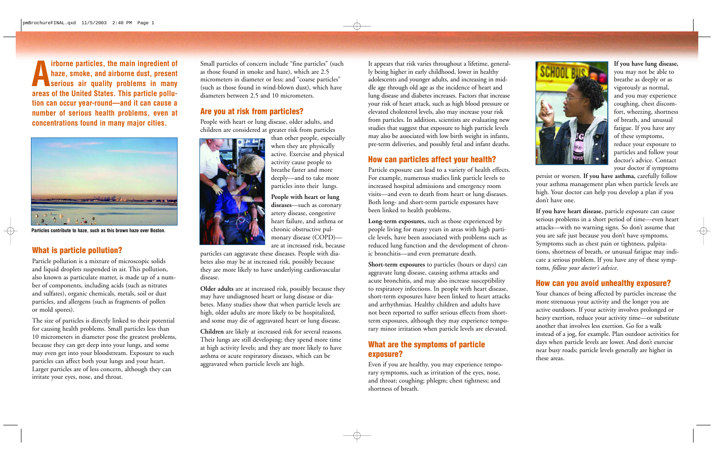

**Particles contribute to haze, such as this brown haze over Boston.** 

The size of particles is directly linked to their potential and some may die of aggravated heart or lung disease.<br>
for causing health problems. Small particles less than may even get into your bloodstream. Exposure to such<br>
particles can affect both your lungs and your heart.<br>
Larger particles are of less concern, although they can<br>
Larger particles are of less concern, although they can

**diseases** —such as coronary **People with heart or lung**  artery disease, congestive heart failure, and asthma or chronic obstructive pulmonary disease (COPD)—<br>are at increased risk, because

**Airborne particles, the main ingredient of haze, smoke, and airborne dust, present serious air quality problems in many areas of the United States. This particle pollunumber of serious health problems, even at concentrations found in many major cities. tion can occur year-round—and it can cause a** 

#### **Are you at risk from particles?**

### **How can particles affect your health?**

than other people, especially activity cause people to particles into their lungs. when they are physically active. Exercise and physical breathe faster and more deeply—and to take more

Small particles of concern include "fine particles" (such as those found in smoke and haze), which are 2.5 micrometers in diameter or less; and "coarse particles" (such as those found in wind-blown dust), which have diameters between 2.5 and 10 micrometers.

People with heart or lung disease, older adults, and children are considered at greater risk from particles



**Long-term exposures,** such as those experienced by people living for many years in areas with high particle levels, have been associated with problems such as are at increased risk, because and the development of chron-<br>part**icle pollution?** particles can aggravate these diseases. People with dia- ic bronchitis—and even premature death. tions, shortness of breath, or unusual fat

It appears that risk varies throughout a lifetime, generally being higher in early childhood, lower in healthy adolescents and younger adults, and increasing in middle age through old age as the incidence of heart and lung disease and diabetes increases. Factors that increase your risk of heart attack, such as high blood pressure or elevated cholesterol levels, also may increase your risk from particles. In addition, scientists are evaluating new studies that suggest that exposure to high particle levels may also be associated with low birth weight in infants, pre-term deliveries, and possibly fetal and infant deaths.

coughing, chest discomof these symptoms, **If you have lung disease,**  you may not be able to breathe as deeply or as vigorously as normal, and you may experience fort, wheezing, shortness of breath, and unusual fatigue. If you have any reduce your exposure to particles and follow your doctor's advice. Contact your doctor if symptoms

persist or worsen. **If you have asthma,** carefully follow your asthma management plan when particle levels are high. Your doctor can help you develop a plan if you don't have one.

Particle exposure can lead to a variety of health effects. For example, numerous studies link particle levels to increased hospital admissions and emergency room visits—and even to death from heart or lung diseases. Both long- and short-term particle exposures have been linked to health problems.

Particle pollution is a mixture of microscopic solids betes also may be at increased risk, possibly because<br>and liquid droplets suspended in air. This pollution, they are more likely to have underlying cardiovascular<br>also and arrhythmias. Healthy children and adults have

# exposure?

**If you have heart disease,** particle exposure can cause serious problems in a short period of time—even heart attacks—with no warning signs. So don't assume that you are safe just because you don't have symptoms.

particles can affect both you hungs and you heart. aggravated when particle levels are high. Even if you are healthy, you may experience tempo-<br>Larger particles are of less concern, although they can<br>irritate your eyes, no shortness of breath.



not been reported to suffer serious effects from short-<br>
active outdoors. If your activity involves prolonged or<br>
heavy exertion, reduce your activity time—or substitute The size of particles is directly linked to their potential and some may die of aggravated heart or lung disease.<br>
For causing health problems. Small particles less than<br>
10 micrometers in diameter pose the greatest proble